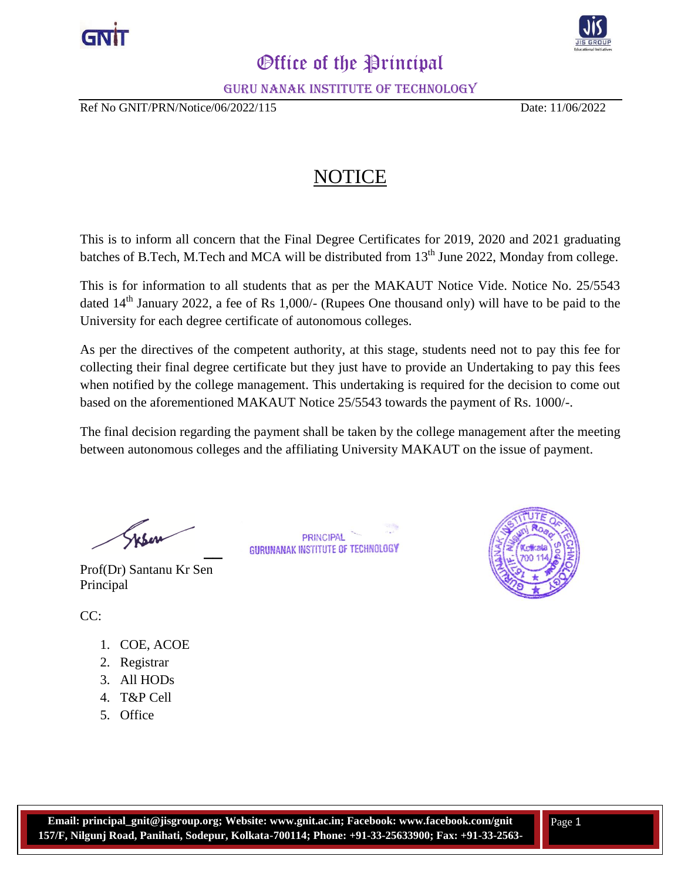



## *Office of the Principal*

Guru Nanak Institute of Technology

Ref No GNIT/PRN/Notice/06/2022/115 Date: 11/06/2022

## NOTICE

This is to inform all concern that the Final Degree Certificates for 2019, 2020 and 2021 graduating batches of B.Tech, M.Tech and MCA will be distributed from  $13<sup>th</sup>$  June 2022, Monday from college.

This is for information to all students that as per the MAKAUT Notice Vide. Notice No. 25/5543 dated 14<sup>th</sup> January 2022, a fee of Rs 1,000/- (Rupees One thousand only) will have to be paid to the University for each degree certificate of autonomous colleges.

As per the directives of the competent authority, at this stage, students need not to pay this fee for collecting their final degree certificate but they just have to provide an Undertaking to pay this fees when notified by the college management. This undertaking is required for the decision to come out based on the aforementioned MAKAUT Notice 25/5543 towards the payment of Rs. 1000/-.

The final decision regarding the payment shall be taken by the college management after the meeting between autonomous colleges and the affiliating University MAKAUT on the issue of payment.

> **PRINCIPAL** GURUNANAK INSTITUTE OF TECHNOLOGY

 $Y$ 

Prof(Dr) Santanu Kr Sen Principal



CC:

- 1. COE, ACOE
- 2. Registrar
- 3. All HODs
- 4. T&P Cell
- 5. Office

**3957;**